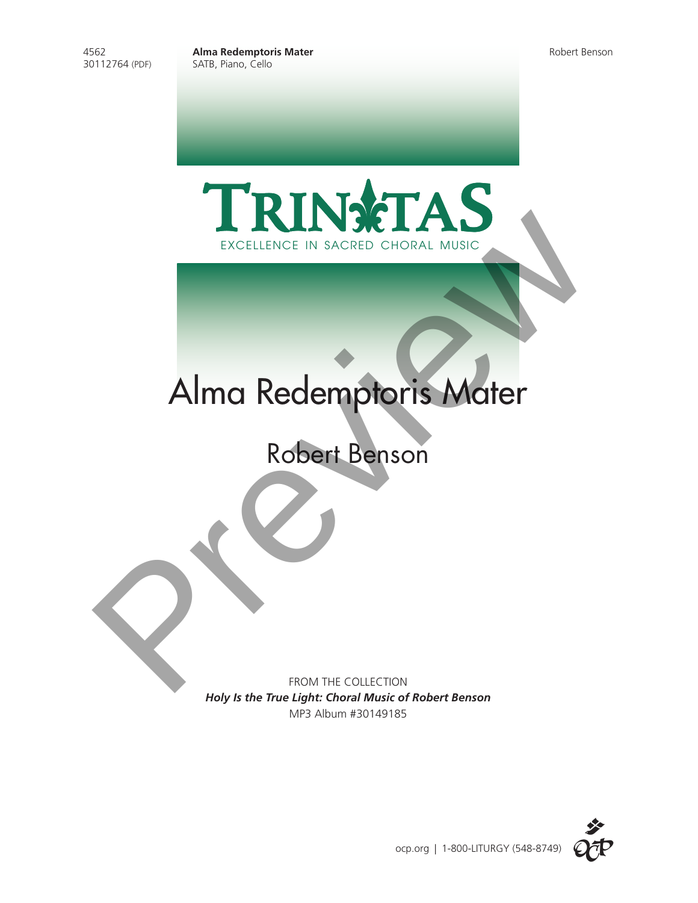4562 **Alma Redemptoris Mater** Robert Benson SATB, Piano, Cello





## Alma Redemptoris Mater

FROM THE COLLECTION *Holy Is the True Light: Choral Music of Robert Benson* MP3 Album #30149185

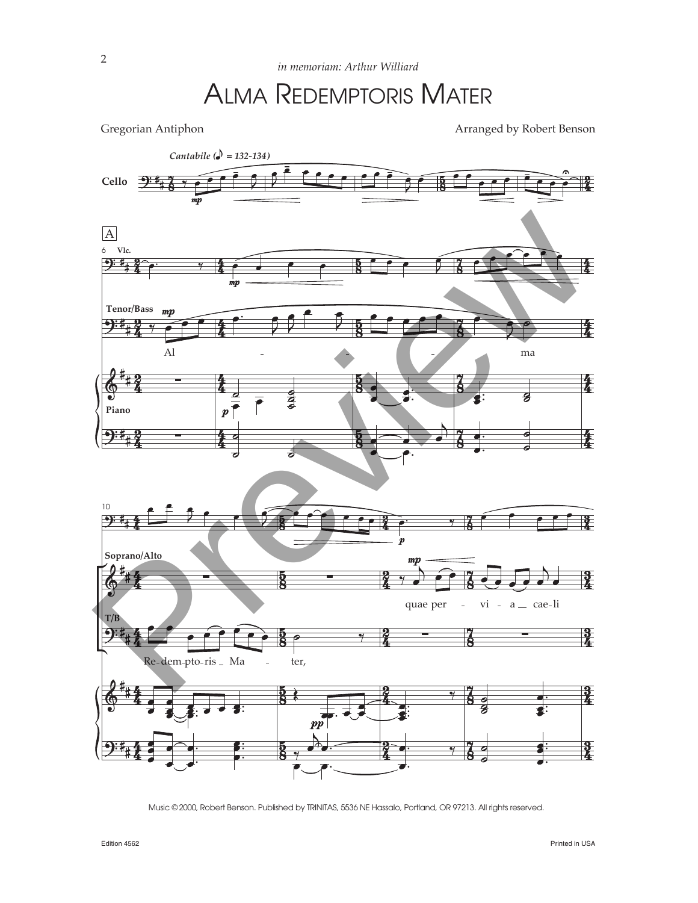## ALMA REDEMPTORIS MATER

Gregorian Antiphon **Arranged** by Robert Benson



Music © 2000, Robert Benson. Published by TRINITAS, 5536 NE Hassalo, Portland, OR 97213. All rights reserved.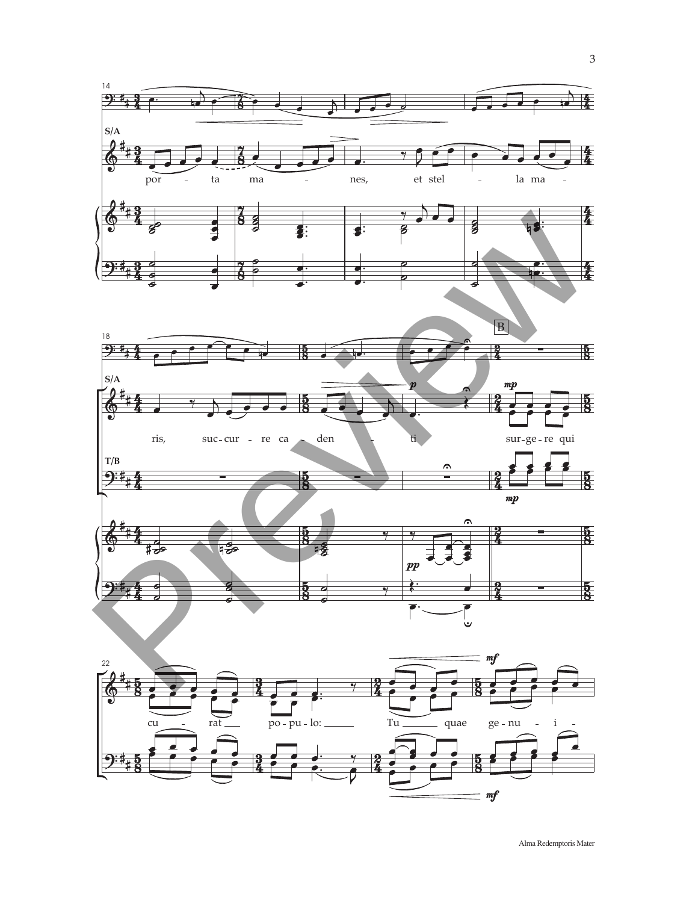



Alma Redemptoris Mater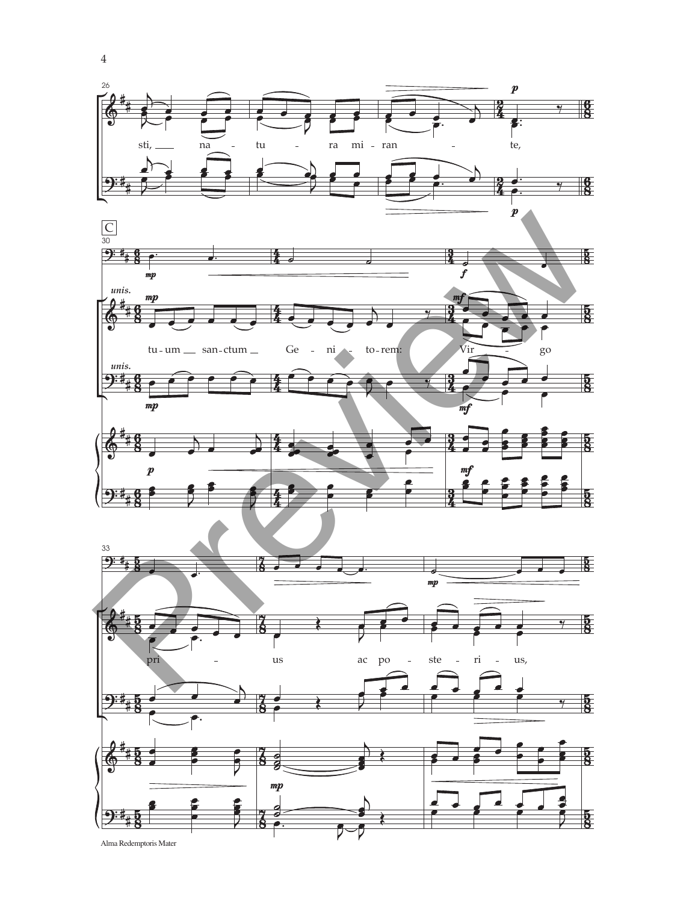





Alma Redemptoris Mater

 $\,4\,$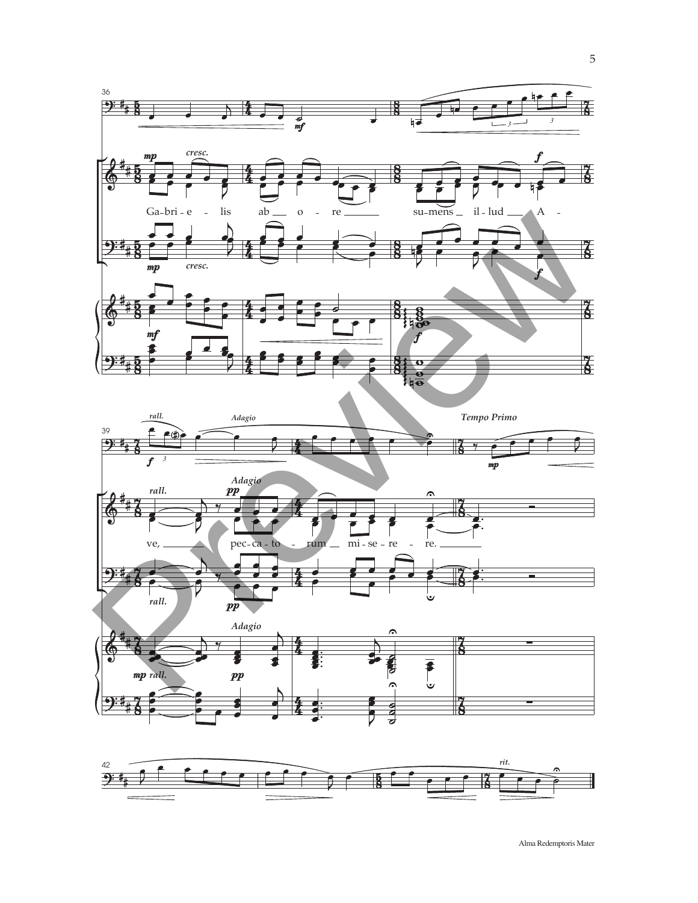





Alma Redemptoris Mater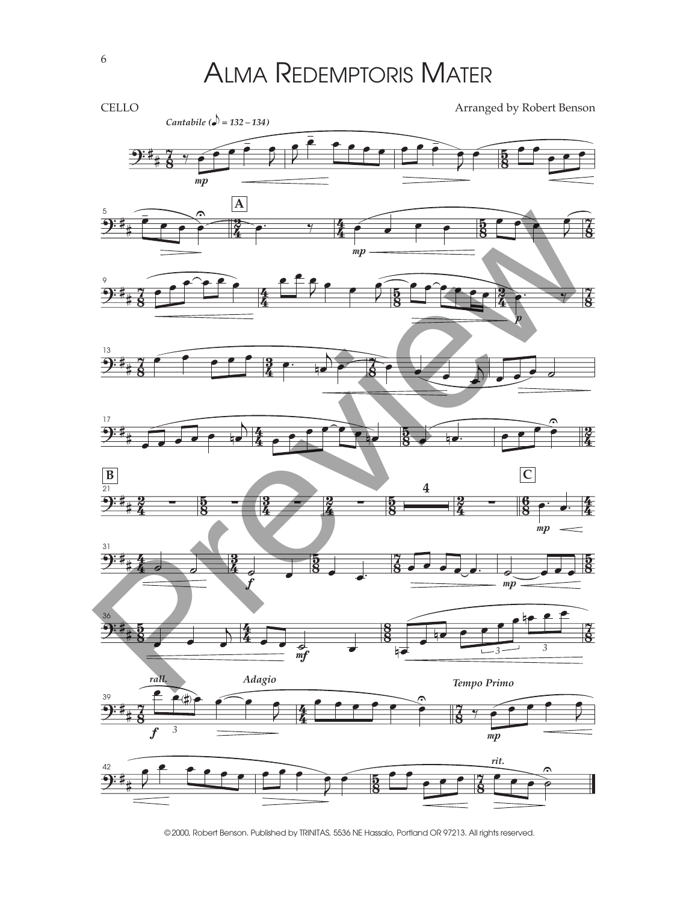ALMA REDEMPTORIS MATER



© 2000, Robert Benson. Published by TRINITAS, 5536 NE Hassalo, Portland OR 97213. All rights reserved.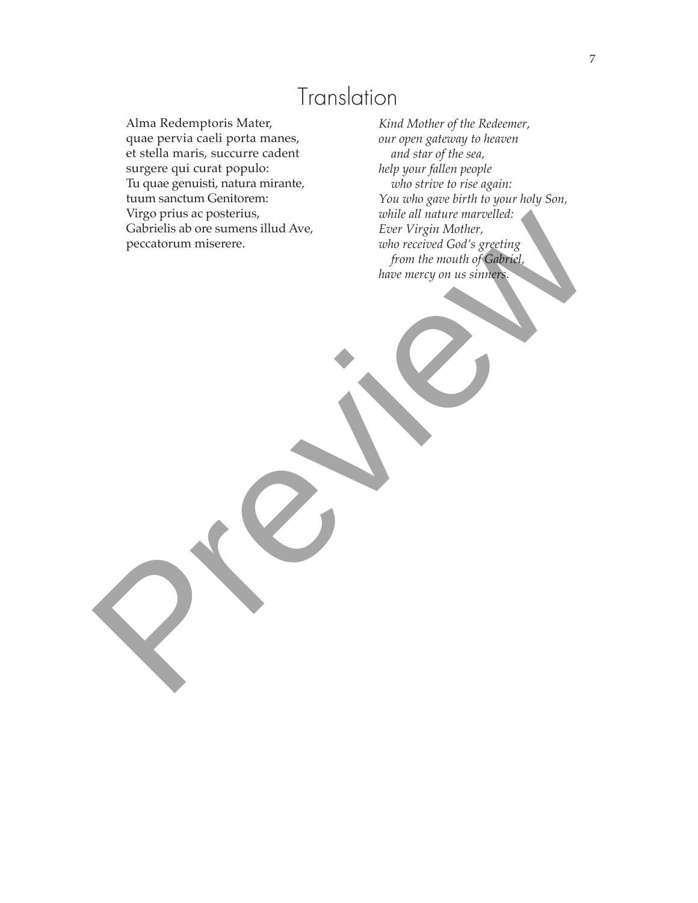## **Translation**

Alma Redemptoris Mater, quae pervia caeli porta manes, et stella maris, succurre cadent surgere qui curat populo: Tu quae genuisti, natura mirante, tuum sanctum Genitorem: Virgo prius ac posterius, Gabrielis ab ore sumens illud Ave, peccatorum miserere.

*Kind Mother of the Redeemer, our open gateway to heaven and star of the sea, help your fallen people who strive to rise again: You who gave birth to your holy Son, while all nature marvelled: Ever Virgin Mother, who received God's greeting from the mouth of Gabriel, Mago pruss ac posterius, we come that and we concerned that concerned code specifies*<br> *Cabriells above sumers.* Hud Ave,<br> *preview mercy on us simmers*<br> *have mercy on us simmers*<br> *have mercy on us simmers*